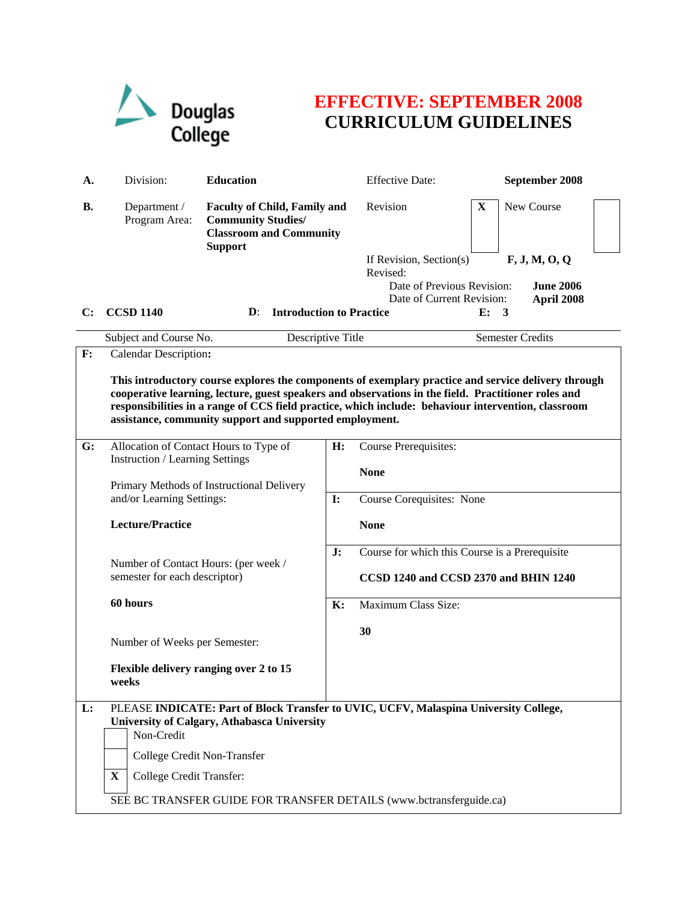

## **EFFECTIVE: SEPTEMBER 2008 CURRICULUM GUIDELINES**

| А.        | Division:                                                                                                                                                                                                                                                                                                                                                                          | <b>Education</b>                                                                                                     |                | <b>Effective Date:</b>                                                                  | September 2008            |  |
|-----------|------------------------------------------------------------------------------------------------------------------------------------------------------------------------------------------------------------------------------------------------------------------------------------------------------------------------------------------------------------------------------------|----------------------------------------------------------------------------------------------------------------------|----------------|-----------------------------------------------------------------------------------------|---------------------------|--|
| <b>B.</b> | Department /<br>Program Area:                                                                                                                                                                                                                                                                                                                                                      | <b>Faculty of Child, Family and</b><br><b>Community Studies/</b><br><b>Classroom and Community</b><br><b>Support</b> |                | Revision                                                                                | $\mathbf X$<br>New Course |  |
|           |                                                                                                                                                                                                                                                                                                                                                                                    |                                                                                                                      |                | If Revision, Section(s)<br>Revised:                                                     | F, J, M, O, Q             |  |
|           |                                                                                                                                                                                                                                                                                                                                                                                    |                                                                                                                      |                | Date of Previous Revision:                                                              | <b>June 2006</b>          |  |
| C:        | <b>CCSD 1140</b>                                                                                                                                                                                                                                                                                                                                                                   | <b>Introduction to Practice</b><br>$\mathbf{D}$ :                                                                    |                | Date of Current Revision:                                                               | April 2008<br>E: 3        |  |
|           | Subject and Course No.                                                                                                                                                                                                                                                                                                                                                             | Descriptive Title                                                                                                    |                |                                                                                         | <b>Semester Credits</b>   |  |
| F:        | <b>Calendar Description:</b>                                                                                                                                                                                                                                                                                                                                                       |                                                                                                                      |                |                                                                                         |                           |  |
|           | This introductory course explores the components of exemplary practice and service delivery through<br>cooperative learning, lecture, guest speakers and observations in the field. Practitioner roles and<br>responsibilities in a range of CCS field practice, which include: behaviour intervention, classroom<br>assistance, community support and supported employment.<br>H: |                                                                                                                      |                |                                                                                         |                           |  |
| G:        |                                                                                                                                                                                                                                                                                                                                                                                    | Allocation of Contact Hours to Type of<br><b>Instruction / Learning Settings</b>                                     |                | <b>Course Prerequisites:</b>                                                            |                           |  |
|           | Primary Methods of Instructional Delivery<br>and/or Learning Settings:<br><b>Lecture/Practice</b><br>Number of Contact Hours: (per week /<br>semester for each descriptor)<br>60 hours<br>Number of Weeks per Semester:<br>Flexible delivery ranging over 2 to 15<br>weeks                                                                                                         |                                                                                                                      |                | <b>None</b>                                                                             |                           |  |
|           |                                                                                                                                                                                                                                                                                                                                                                                    |                                                                                                                      | $\mathbf{I}$ : | Course Corequisites: None                                                               |                           |  |
|           |                                                                                                                                                                                                                                                                                                                                                                                    |                                                                                                                      |                | <b>None</b>                                                                             |                           |  |
|           |                                                                                                                                                                                                                                                                                                                                                                                    |                                                                                                                      | J:             | Course for which this Course is a Prerequisite<br>CCSD 1240 and CCSD 2370 and BHIN 1240 |                           |  |
|           |                                                                                                                                                                                                                                                                                                                                                                                    |                                                                                                                      | $\mathbf{K}$ : | Maximum Class Size:                                                                     |                           |  |
|           |                                                                                                                                                                                                                                                                                                                                                                                    |                                                                                                                      |                |                                                                                         |                           |  |
|           |                                                                                                                                                                                                                                                                                                                                                                                    |                                                                                                                      |                | 30                                                                                      |                           |  |
|           |                                                                                                                                                                                                                                                                                                                                                                                    |                                                                                                                      |                |                                                                                         |                           |  |
| L:        | PLEASE INDICATE: Part of Block Transfer to UVIC, UCFV, Malaspina University College,<br>University of Calgary, Athabasca University<br>Non-Credit                                                                                                                                                                                                                                  |                                                                                                                      |                |                                                                                         |                           |  |
|           | College Credit Non-Transfer                                                                                                                                                                                                                                                                                                                                                        |                                                                                                                      |                |                                                                                         |                           |  |
|           | $\mathbf X$<br>College Credit Transfer:                                                                                                                                                                                                                                                                                                                                            |                                                                                                                      |                |                                                                                         |                           |  |
|           | SEE BC TRANSFER GUIDE FOR TRANSFER DETAILS (www.bctransferguide.ca)                                                                                                                                                                                                                                                                                                                |                                                                                                                      |                |                                                                                         |                           |  |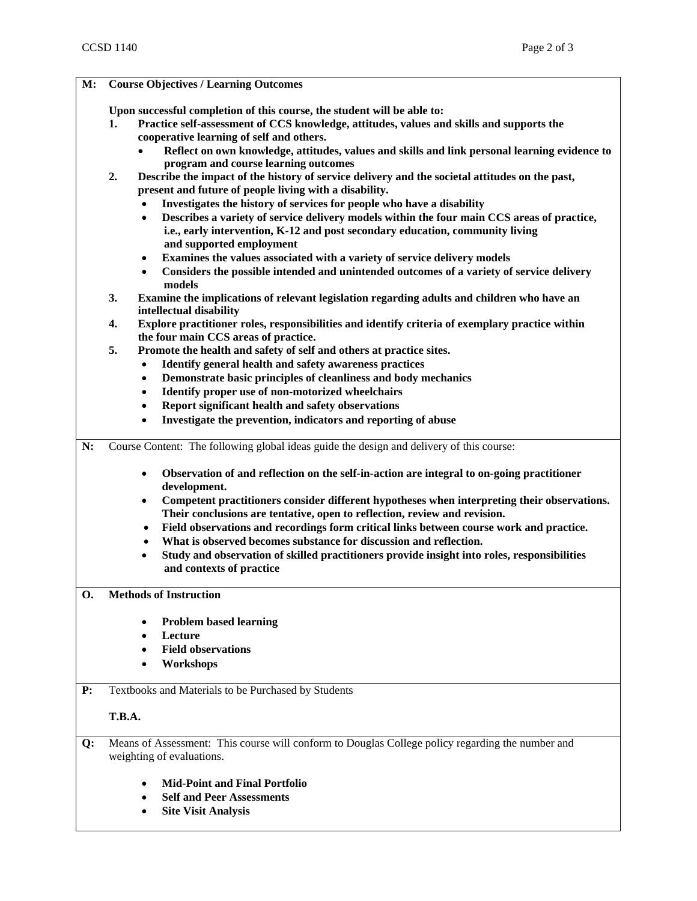| M: | <b>Course Objectives / Learning Outcomes</b>                                                                                                                                                                                                                                                                                        |  |  |  |  |  |
|----|-------------------------------------------------------------------------------------------------------------------------------------------------------------------------------------------------------------------------------------------------------------------------------------------------------------------------------------|--|--|--|--|--|
|    | Upon successful completion of this course, the student will be able to:<br>Practice self-assessment of CCS knowledge, attitudes, values and skills and supports the<br>1.<br>cooperative learning of self and others.<br>Reflect on own knowledge, attitudes, values and skills and link personal learning evidence to<br>$\bullet$ |  |  |  |  |  |
|    | program and course learning outcomes<br>Describe the impact of the history of service delivery and the societal attitudes on the past,<br>2.<br>present and future of people living with a disability.<br>Investigates the history of services for people who have a disability                                                     |  |  |  |  |  |
|    | Describes a variety of service delivery models within the four main CCS areas of practice,<br>$\bullet$<br>i.e., early intervention, K-12 and post secondary education, community living<br>and supported employment                                                                                                                |  |  |  |  |  |
|    | Examines the values associated with a variety of service delivery models<br>$\bullet$<br>Considers the possible intended and unintended outcomes of a variety of service delivery<br>٠<br>models                                                                                                                                    |  |  |  |  |  |
|    | 3.<br>Examine the implications of relevant legislation regarding adults and children who have an<br>intellectual disability                                                                                                                                                                                                         |  |  |  |  |  |
|    | Explore practitioner roles, responsibilities and identify criteria of exemplary practice within<br>4.<br>the four main CCS areas of practice.<br>5.                                                                                                                                                                                 |  |  |  |  |  |
|    | Promote the health and safety of self and others at practice sites.                                                                                                                                                                                                                                                                 |  |  |  |  |  |
|    | Identify general health and safety awareness practices                                                                                                                                                                                                                                                                              |  |  |  |  |  |
|    | Demonstrate basic principles of cleanliness and body mechanics<br>$\bullet$                                                                                                                                                                                                                                                         |  |  |  |  |  |
|    | Identify proper use of non-motorized wheelchairs                                                                                                                                                                                                                                                                                    |  |  |  |  |  |
|    | Report significant health and safety observations<br>$\bullet$                                                                                                                                                                                                                                                                      |  |  |  |  |  |
|    | Investigate the prevention, indicators and reporting of abuse                                                                                                                                                                                                                                                                       |  |  |  |  |  |
| N: | Course Content: The following global ideas guide the design and delivery of this course:                                                                                                                                                                                                                                            |  |  |  |  |  |
|    | Observation of and reflection on the self-in-action are integral to on-going practitioner<br>$\bullet$<br>development.                                                                                                                                                                                                              |  |  |  |  |  |
|    | Competent practitioners consider different hypotheses when interpreting their observations.<br>$\bullet$<br>Their conclusions are tentative, open to reflection, review and revision.<br>Field observations and recordings form critical links between course work and practice.<br>$\bullet$                                       |  |  |  |  |  |
|    | What is observed becomes substance for discussion and reflection.                                                                                                                                                                                                                                                                   |  |  |  |  |  |
|    | Study and observation of skilled practitioners provide insight into roles, responsibilities<br>٠                                                                                                                                                                                                                                    |  |  |  |  |  |
|    | and contexts of practice                                                                                                                                                                                                                                                                                                            |  |  |  |  |  |
| O. | <b>Methods of Instruction</b>                                                                                                                                                                                                                                                                                                       |  |  |  |  |  |
|    | <b>Problem based learning</b>                                                                                                                                                                                                                                                                                                       |  |  |  |  |  |
|    | Lecture                                                                                                                                                                                                                                                                                                                             |  |  |  |  |  |
|    | <b>Field observations</b>                                                                                                                                                                                                                                                                                                           |  |  |  |  |  |
|    | Workshops                                                                                                                                                                                                                                                                                                                           |  |  |  |  |  |
| P: | Textbooks and Materials to be Purchased by Students                                                                                                                                                                                                                                                                                 |  |  |  |  |  |
|    | <b>T.B.A.</b>                                                                                                                                                                                                                                                                                                                       |  |  |  |  |  |
| Q: | Means of Assessment: This course will conform to Douglas College policy regarding the number and<br>weighting of evaluations.                                                                                                                                                                                                       |  |  |  |  |  |
|    | <b>Mid-Point and Final Portfolio</b>                                                                                                                                                                                                                                                                                                |  |  |  |  |  |
|    | <b>Self and Peer Assessments</b>                                                                                                                                                                                                                                                                                                    |  |  |  |  |  |
|    | <b>Site Visit Analysis</b>                                                                                                                                                                                                                                                                                                          |  |  |  |  |  |